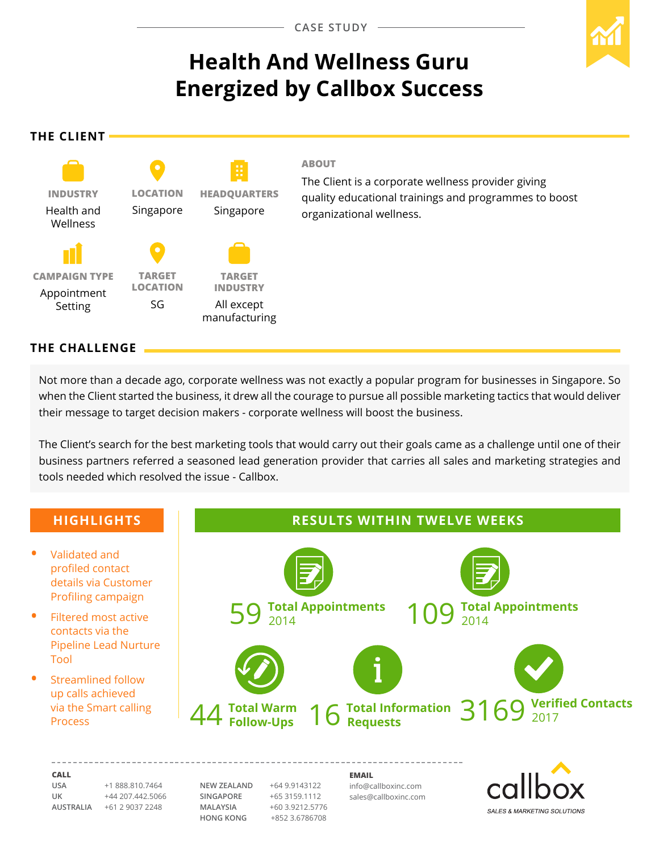# **Health And Wellness Guru Energized by Callbox Success**

**The Client**



#### **ABOUT**

The Client is a corporate wellness provider giving quality educational trainings and programmes to boost organizational wellness.

# **The CHALLENGE**

Not more than a decade ago, corporate wellness was not exactly a popular program for businesses in Singapore. So when the Client started the business, it drew all the courage to pursue all possible marketing tactics that would deliver their message to target decision makers - corporate wellness will boost the business.

The Client's search for the best marketing tools that would carry out their goals came as a challenge until one of their business partners referred a seasoned lead generation provider that carries all sales and marketing strategies and tools needed which resolved the issue - Callbox.



**UK** +44 207.442.5066 **AUSTRALIA** +61 2 9037 2248

**SINGAPORE** +65 3159.1112 **MALAYSIA** +60 3.9212.5776 **HONG KONG** +852 3.6786708

sales@callboxinc.com